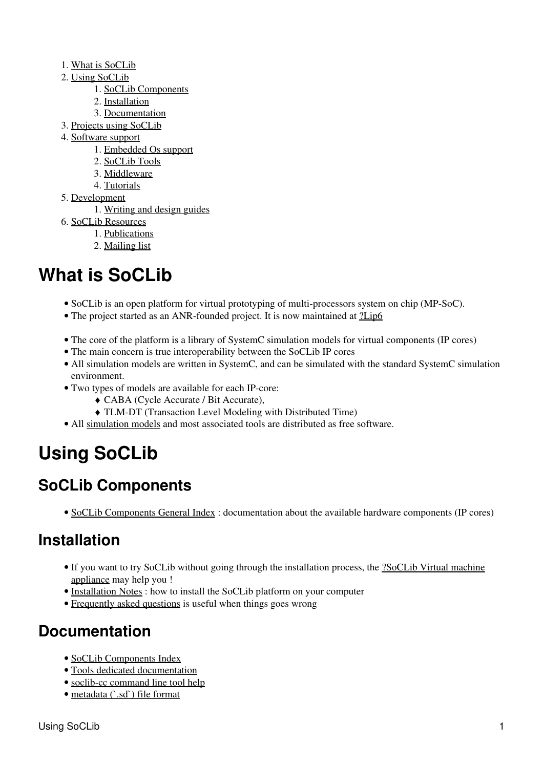- 1. [What is SoCLib](#page-0-0)
- 2. [Using SoCLib](#page-0-1)
	- 1. [SoCLib Components](#page-0-2)
	- 2. [Installation](#page-0-3)
	- 3. [Documentation](#page-0-4)
- 3. [Projects using SoCLib](#page-1-0)
- 4. [Software support](#page-1-1)
	- 1. [Embedded Os support](#page-1-2)
	- 2. [SoCLib Tools](#page-1-3)
	- 3. [Middleware](#page-1-4)
	- 4. [Tutorials](#page-1-5)
- 5. [Development](#page-1-6)
	- 1. [Writing and design guides](#page-1-7)
- 6. [SoCLib Resources](#page-2-0)
	- 1. [Publications](#page-2-1)
	- 2. [Mailing list](#page-2-2)

## <span id="page-0-0"></span>**What is SoCLib**

- SoCLib is an open platform for virtual prototyping of multi-processors system on chip (MP-SoC).
- The project started as an ANR-founded project. It is now maintained at [?Lip6](http://www.lip6.fr/)
- The core of the platform is a library of SystemC simulation models for virtual components (IP cores)
- The main concern is true interoperability between the SoCLib IP cores
- All simulation models are written in SystemC, and can be simulated with the standard SystemC simulation environment.
- Two types of models are available for each IP-core:
	- ♦ CABA (Cycle Accurate / Bit Accurate),
	- ♦ TLM-DT (Transaction Level Modeling with Distributed Time)
- All simulation models and most associated tools are distributed as free software.

# <span id="page-0-1"></span>**Using SoCLib**

### <span id="page-0-2"></span>**SoCLib Components**

• SoCLib Components General Index : documentation about the available hardware components (IP cores)

### <span id="page-0-3"></span>**Installation**

- If you want to try SoCLib without going through the installation process, the **?SoCLib Virtual machine** [appliance](https://www.soclib.fr/appliance/) may help you !
- Installation Notes : how to install the SoCLib platform on your computer
- Frequently asked questions is useful when things goes wrong

#### <span id="page-0-4"></span>**Documentation**

- SoCLib Components Index
- [Tools dedicated documentation](http://www.soclib.fr/doc/)
- [soclib-cc command line tool help](http://www.soclib.fr/doc/soclib-cc/)
- [metadata \(`.sd`\) file format](http://www.soclib.fr/doc/sd-file/)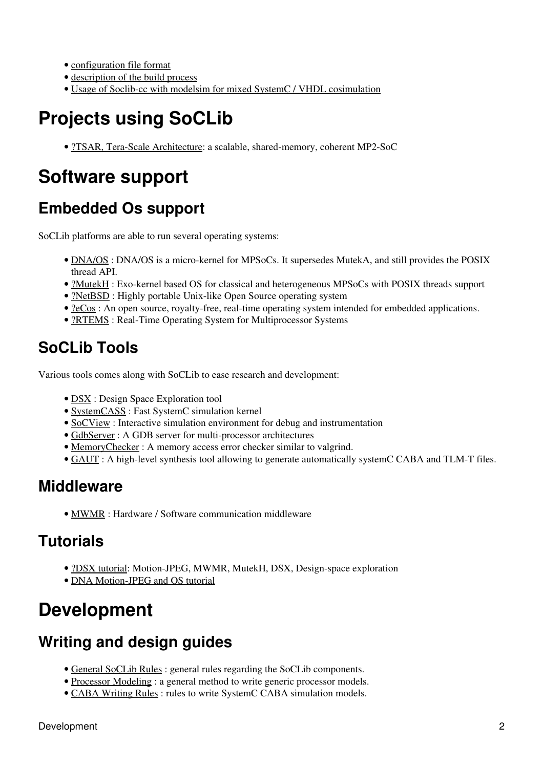- [configuration file format](http://www.soclib.fr/doc/configuration/)
- [description of the build process](http://www.soclib.fr/doc/build/)
- Usage of Soclib-cc with modelsim for mixed SystemC / VHDL cosimulation

# <span id="page-1-0"></span>**Projects using SoCLib**

• [?TSAR, Tera-Scale Architecture:](https://www-soc.lip6.fr/trac/tsar/) a scalable, shared-memory, coherent MP2-SoC

# <span id="page-1-1"></span>**Software support**

#### <span id="page-1-2"></span>**Embedded Os support**

SoCLib platforms are able to run several operating systems:

- DNA/OS : DNA/OS is a micro-kernel for MPSoCs. It supersedes MutekA, and still provides the POSIX thread API.
- ?MutekH: Exo-kernel based OS for classical and heterogeneous MPSoCs with POSIX threads support
- [?NetBSD](http://www.netbsd.org/) : Highly portable Unix-like Open Source operating system
- ?eCos: An open source, royalty-free, real-time operating system intended for embedded applications.
- [?RTEMS](http://www.rtems.com/) : Real-Time Operating System for Multiprocessor Systems

### <span id="page-1-3"></span>**SoCLib Tools**

Various tools comes along with SoCLib to ease research and development:

- DSX : Design Space Exploration tool
- SystemCASS : Fast SystemC simulation kernel
- SoCView : Interactive simulation environment for debug and instrumentation
- GdbServer : A GDB server for multi-processor architectures
- MemoryChecker : A memory access error checker similar to valgrind.
- GAUT : A high-level synthesis tool allowing to generate automatically systemC CABA and TLM-T files.

#### <span id="page-1-4"></span>**Middleware**

• MWMR : Hardware / Software communication middleware

### <span id="page-1-5"></span>**Tutorials**

- [?DSX tutorial](https://www-asim.lip6.fr/trac/dsx/wiki/MjpegCourse): Motion-JPEG, MWMR, MutekH, DSX, Design-space exploration
- DNA Motion-JPEG and OS tutorial

## <span id="page-1-6"></span>**Development**

### <span id="page-1-7"></span>**Writing and design guides**

- General SoCLib Rules : general rules regarding the SoCLib components.
- Processor Modeling : a general method to write generic processor models.
- CABA Writing Rules : rules to write SystemC CABA simulation models.